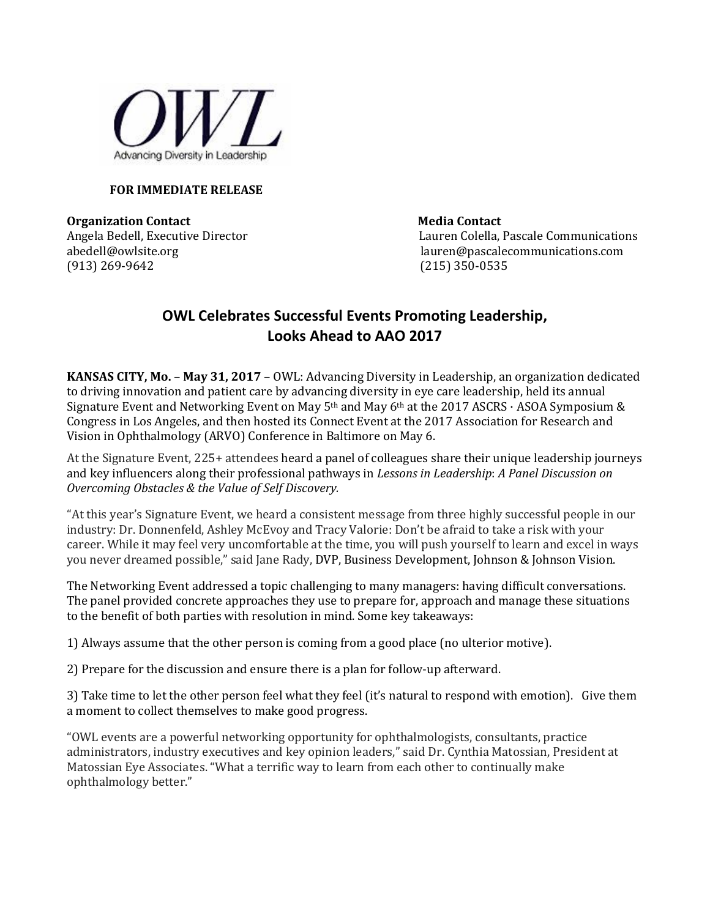

## **FOR IMMEDIATE RELEASE**

**Organization Contact Server According Contact Media Contact** (913) 269-9642 (215) 350-0535

Angela Bedell, Executive Director Lauren Colella, Pascale Communications abedell@owlsite.orglauren@pascalecommunications.com

## **OWL Celebrates Successful Events Promoting Leadership, Looks Ahead to AAO 2017**

**KANSAS CITY, Mo.** – **May 31, 2017** – OWL: Advancing Diversity in Leadership, an organization dedicated to driving innovation and patient care by advancing diversity in eye care leadership, held its annual Signature Event and Networking Event on May  $5<sup>th</sup>$  and May  $6<sup>th</sup>$  at the 2017 ASCRS  $\cdot$  ASOA Symposium & Congress in Los Angeles, and then hosted its Connect Event at the 2017 Association for Research and Vision in Ophthalmology (ARVO) Conference in Baltimore on May 6.

At the Signature Event, 225+ attendees heard a panel of colleagues share their unique leadership journeys and key influencers along their professional pathways in *Lessons in Leadership*: *A Panel Discussion on Overcoming Obstacles & the Value of Self Discovery.* 

"At this year's Signature Event, we heard a consistent message from three highly successful people in our industry: Dr. Donnenfeld, Ashley McEvoy and Tracy Valorie: Don't be afraid to take a risk with your career. While it may feel very uncomfortable at the time, you will push yourself to learn and excel in ways you never dreamed possible," said Jane Rady, DVP, Business Development, Johnson & Johnson Vision.

The Networking Event addressed a topic challenging to many managers: having difficult conversations. The panel provided concrete approaches they use to prepare for, approach and manage these situations to the benefit of both parties with resolution in mind. Some key takeaways:

1) Always assume that the other person is coming from a good place (no ulterior motive).

2) Prepare for the discussion and ensure there is a plan for follow-up afterward.

3) Take time to let the other person feel what they feel (it's natural to respond with emotion). Give them a moment to collect themselves to make good progress.

"OWL events are a powerful networking opportunity for ophthalmologists, consultants, practice administrators, industry executives and key opinion leaders," said Dr. Cynthia Matossian, President at Matossian Eye Associates. "What a terrific way to learn from each other to continually make ophthalmology better."